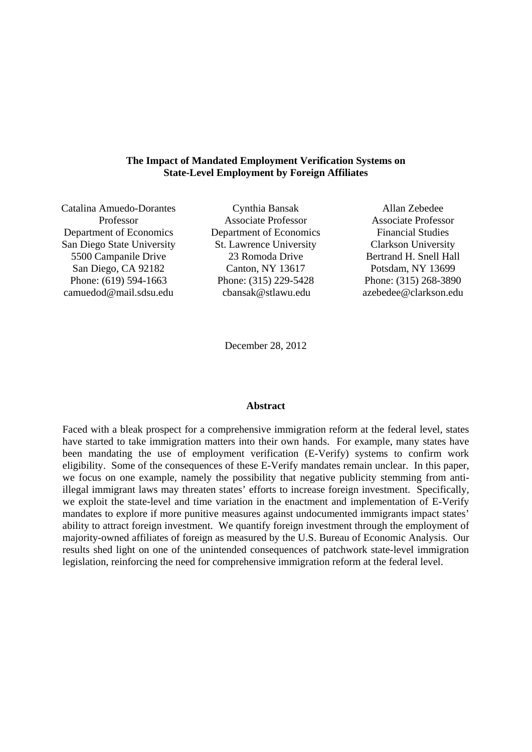# **The Impact of Mandated Employment Verification Systems on State-Level Employment by Foreign Affiliates**

Catalina Amuedo-Dorantes Professor Department of Economics San Diego State University 5500 Campanile Drive San Diego, CA 92182 Phone: (619) 594-1663 camuedod@mail.sdsu.edu

Cynthia Bansak Associate Professor Department of Economics St. Lawrence University 23 Romoda Drive Canton, NY 13617 Phone: (315) 229-5428 cbansak@stlawu.edu

Allan Zebedee Associate Professor Financial Studies Clarkson University Bertrand H. Snell Hall Potsdam, NY 13699 Phone: (315) 268-3890 azebedee@clarkson.edu

December 28, 2012

### **Abstract**

Faced with a bleak prospect for a comprehensive immigration reform at the federal level, states have started to take immigration matters into their own hands. For example, many states have been mandating the use of employment verification (E-Verify) systems to confirm work eligibility. Some of the consequences of these E-Verify mandates remain unclear. In this paper, we focus on one example, namely the possibility that negative publicity stemming from antiillegal immigrant laws may threaten states' efforts to increase foreign investment. Specifically, we exploit the state-level and time variation in the enactment and implementation of E-Verify mandates to explore if more punitive measures against undocumented immigrants impact states' ability to attract foreign investment. We quantify foreign investment through the employment of majority-owned affiliates of foreign as measured by the U.S. Bureau of Economic Analysis. Our results shed light on one of the unintended consequences of patchwork state-level immigration legislation, reinforcing the need for comprehensive immigration reform at the federal level.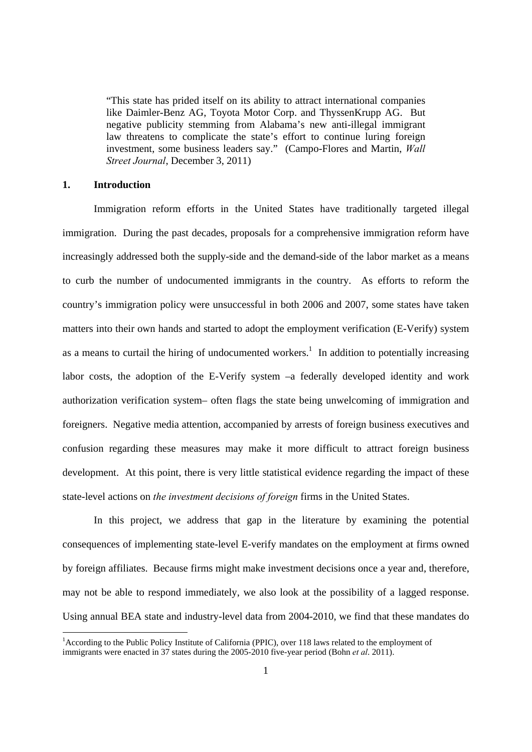"This state has prided itself on its ability to attract international companies like Daimler-Benz AG, Toyota Motor Corp. and ThyssenKrupp AG. But negative publicity stemming from Alabama's new anti-illegal immigrant law threatens to complicate the state's effort to continue luring foreign investment, some business leaders say." (Campo-Flores and Martin, *Wall Street Journal*, December 3, 2011)

# **1. Introduction**

-

 Immigration reform efforts in the United States have traditionally targeted illegal immigration. During the past decades, proposals for a comprehensive immigration reform have increasingly addressed both the supply-side and the demand-side of the labor market as a means to curb the number of undocumented immigrants in the country. As efforts to reform the country's immigration policy were unsuccessful in both 2006 and 2007, some states have taken matters into their own hands and started to adopt the employment verification (E-Verify) system as a means to curtail the hiring of undocumented workers.<sup>1</sup> In addition to potentially increasing labor costs, the adoption of the E-Verify system –a federally developed identity and work authorization verification system– often flags the state being unwelcoming of immigration and foreigners. Negative media attention, accompanied by arrests of foreign business executives and confusion regarding these measures may make it more difficult to attract foreign business development. At this point, there is very little statistical evidence regarding the impact of these state-level actions on *the investment decisions of foreign* firms in the United States.

 In this project, we address that gap in the literature by examining the potential consequences of implementing state-level E-verify mandates on the employment at firms owned by foreign affiliates. Because firms might make investment decisions once a year and, therefore, may not be able to respond immediately, we also look at the possibility of a lagged response. Using annual BEA state and industry-level data from 2004-2010, we find that these mandates do

<sup>&</sup>lt;sup>1</sup> According to the Public Policy Institute of California (PPIC), over 118 laws related to the employment of immigrants were enacted in 37 states during the 2005-2010 five-year period (Bohn *et al*. 2011).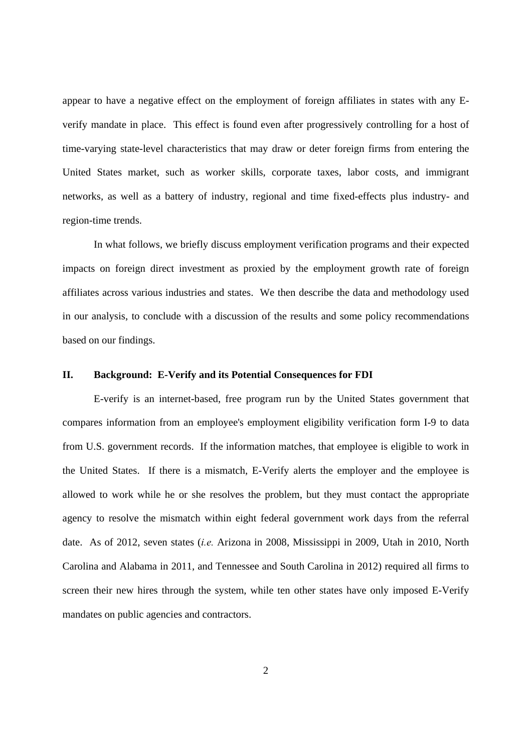appear to have a negative effect on the employment of foreign affiliates in states with any Everify mandate in place. This effect is found even after progressively controlling for a host of time-varying state-level characteristics that may draw or deter foreign firms from entering the United States market, such as worker skills, corporate taxes, labor costs, and immigrant networks, as well as a battery of industry, regional and time fixed-effects plus industry- and region-time trends.

In what follows, we briefly discuss employment verification programs and their expected impacts on foreign direct investment as proxied by the employment growth rate of foreign affiliates across various industries and states. We then describe the data and methodology used in our analysis, to conclude with a discussion of the results and some policy recommendations based on our findings.

## **II. Background: E-Verify and its Potential Consequences for FDI**

E-verify is an internet-based, free program run by the United States government that compares information from an employee's employment eligibility verification form I-9 to data from U.S. government records. If the information matches, that employee is eligible to work in the United States. If there is a mismatch, E-Verify alerts the employer and the employee is allowed to work while he or she resolves the problem, but they must contact the appropriate agency to resolve the mismatch within eight federal government work days from the referral date. As of 2012, seven states (*i.e.* Arizona in 2008, Mississippi in 2009, Utah in 2010, North Carolina and Alabama in 2011, and Tennessee and South Carolina in 2012) required all firms to screen their new hires through the system, while ten other states have only imposed E-Verify mandates on public agencies and contractors.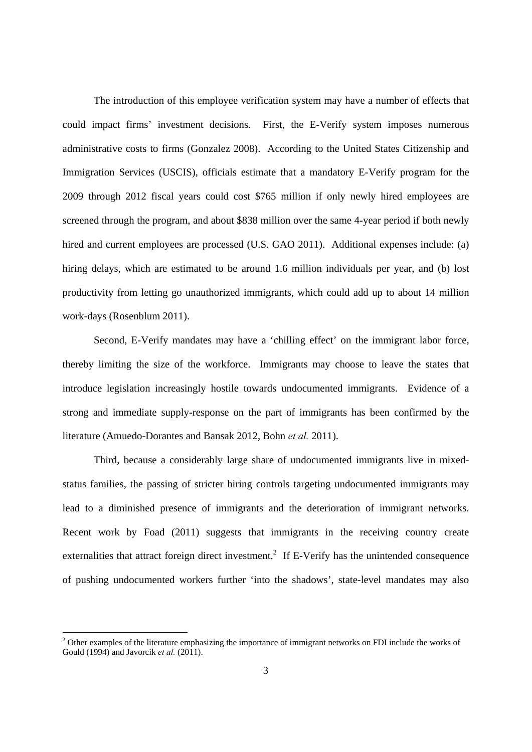The introduction of this employee verification system may have a number of effects that could impact firms' investment decisions. First, the E-Verify system imposes numerous administrative costs to firms (Gonzalez 2008). According to the United States Citizenship and Immigration Services (USCIS), officials estimate that a mandatory E-Verify program for the 2009 through 2012 fiscal years could cost \$765 million if only newly hired employees are screened through the program, and about \$838 million over the same 4-year period if both newly hired and current employees are processed (U.S. GAO 2011). Additional expenses include: (a) hiring delays, which are estimated to be around 1.6 million individuals per year, and (b) lost productivity from letting go unauthorized immigrants, which could add up to about 14 million work-days (Rosenblum 2011).

Second, E-Verify mandates may have a 'chilling effect' on the immigrant labor force, thereby limiting the size of the workforce. Immigrants may choose to leave the states that introduce legislation increasingly hostile towards undocumented immigrants. Evidence of a strong and immediate supply-response on the part of immigrants has been confirmed by the literature (Amuedo-Dorantes and Bansak 2012, Bohn *et al.* 2011).

Third, because a considerably large share of undocumented immigrants live in mixedstatus families, the passing of stricter hiring controls targeting undocumented immigrants may lead to a diminished presence of immigrants and the deterioration of immigrant networks. Recent work by Foad (2011) suggests that immigrants in the receiving country create externalities that attract foreign direct investment.<sup>2</sup> If E-Verify has the unintended consequence of pushing undocumented workers further 'into the shadows', state-level mandates may also

-

 $2$  Other examples of the literature emphasizing the importance of immigrant networks on FDI include the works of Gould (1994) and Javorcik *et al.* (2011).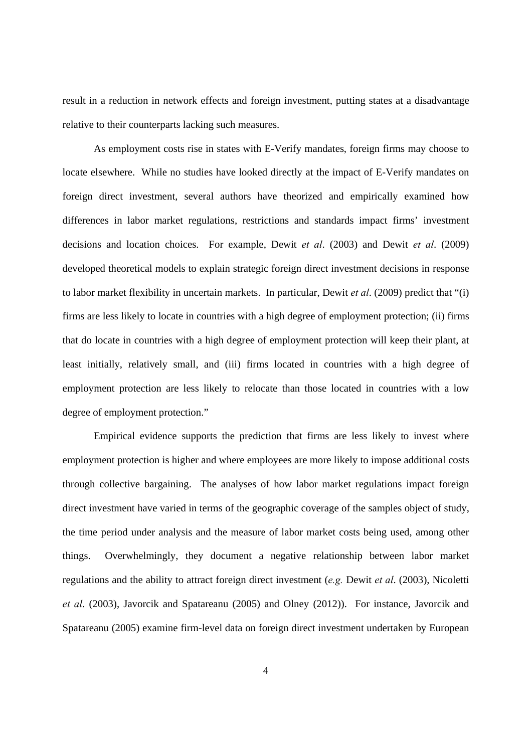result in a reduction in network effects and foreign investment, putting states at a disadvantage relative to their counterparts lacking such measures.

As employment costs rise in states with E-Verify mandates, foreign firms may choose to locate elsewhere. While no studies have looked directly at the impact of E-Verify mandates on foreign direct investment, several authors have theorized and empirically examined how differences in labor market regulations, restrictions and standards impact firms' investment decisions and location choices. For example, Dewit *et al*. (2003) and Dewit *et al*. (2009) developed theoretical models to explain strategic foreign direct investment decisions in response to labor market flexibility in uncertain markets. In particular, Dewit *et al*. (2009) predict that "(i) firms are less likely to locate in countries with a high degree of employment protection; (ii) firms that do locate in countries with a high degree of employment protection will keep their plant, at least initially, relatively small, and (iii) firms located in countries with a high degree of employment protection are less likely to relocate than those located in countries with a low degree of employment protection."

Empirical evidence supports the prediction that firms are less likely to invest where employment protection is higher and where employees are more likely to impose additional costs through collective bargaining. The analyses of how labor market regulations impact foreign direct investment have varied in terms of the geographic coverage of the samples object of study, the time period under analysis and the measure of labor market costs being used, among other things. Overwhelmingly, they document a negative relationship between labor market regulations and the ability to attract foreign direct investment (*e.g.* Dewit *et al*. (2003), Nicoletti *et al*. (2003), Javorcik and Spatareanu (2005) and Olney (2012)). For instance, Javorcik and Spatareanu (2005) examine firm-level data on foreign direct investment undertaken by European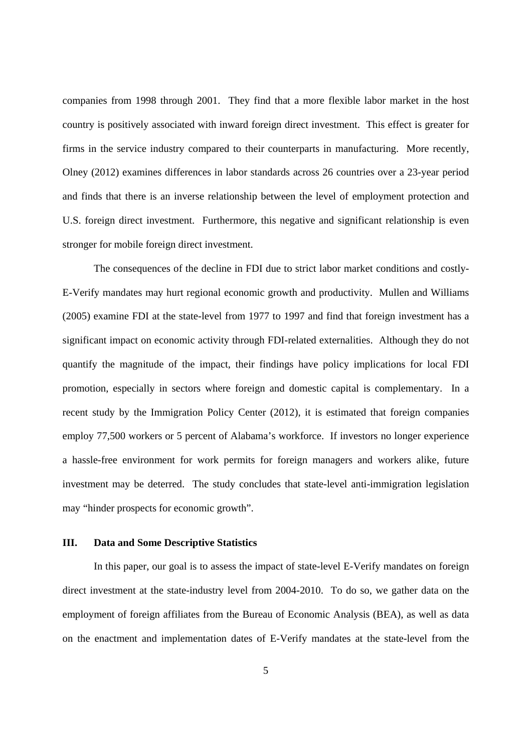companies from 1998 through 2001. They find that a more flexible labor market in the host country is positively associated with inward foreign direct investment. This effect is greater for firms in the service industry compared to their counterparts in manufacturing. More recently, Olney (2012) examines differences in labor standards across 26 countries over a 23-year period and finds that there is an inverse relationship between the level of employment protection and U.S. foreign direct investment. Furthermore, this negative and significant relationship is even stronger for mobile foreign direct investment.

The consequences of the decline in FDI due to strict labor market conditions and costly-E-Verify mandates may hurt regional economic growth and productivity. Mullen and Williams (2005) examine FDI at the state-level from 1977 to 1997 and find that foreign investment has a significant impact on economic activity through FDI-related externalities. Although they do not quantify the magnitude of the impact, their findings have policy implications for local FDI promotion, especially in sectors where foreign and domestic capital is complementary. In a recent study by the Immigration Policy Center (2012), it is estimated that foreign companies employ 77,500 workers or 5 percent of Alabama's workforce. If investors no longer experience a hassle-free environment for work permits for foreign managers and workers alike, future investment may be deterred. The study concludes that state-level anti-immigration legislation may "hinder prospects for economic growth".

# **III. Data and Some Descriptive Statistics**

In this paper, our goal is to assess the impact of state-level E-Verify mandates on foreign direct investment at the state-industry level from 2004-2010. To do so, we gather data on the employment of foreign affiliates from the Bureau of Economic Analysis (BEA), as well as data on the enactment and implementation dates of E-Verify mandates at the state-level from the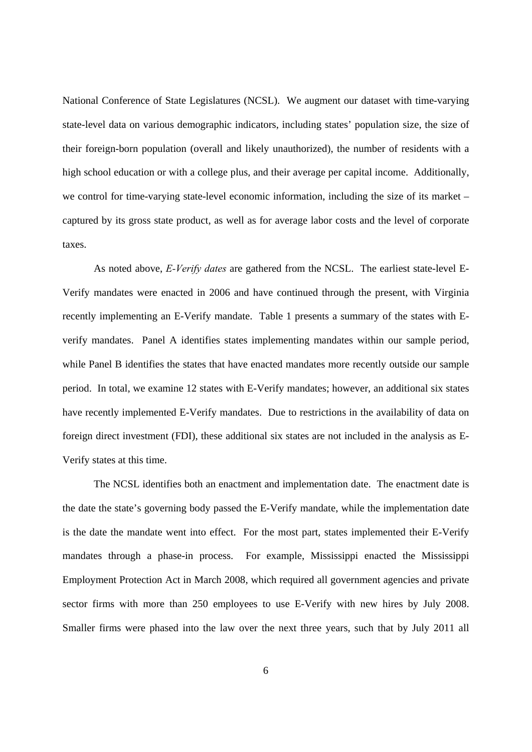National Conference of State Legislatures (NCSL). We augment our dataset with time-varying state-level data on various demographic indicators, including states' population size, the size of their foreign-born population (overall and likely unauthorized), the number of residents with a high school education or with a college plus, and their average per capital income. Additionally, we control for time-varying state-level economic information, including the size of its market – captured by its gross state product, as well as for average labor costs and the level of corporate taxes.

As noted above, *E-Verify dates* are gathered from the NCSL.The earliest state-level E-Verify mandates were enacted in 2006 and have continued through the present, with Virginia recently implementing an E-Verify mandate. Table 1 presents a summary of the states with Everify mandates. Panel A identifies states implementing mandates within our sample period, while Panel B identifies the states that have enacted mandates more recently outside our sample period. In total, we examine 12 states with E-Verify mandates; however, an additional six states have recently implemented E-Verify mandates. Due to restrictions in the availability of data on foreign direct investment (FDI), these additional six states are not included in the analysis as E-Verify states at this time.

The NCSL identifies both an enactment and implementation date. The enactment date is the date the state's governing body passed the E-Verify mandate, while the implementation date is the date the mandate went into effect. For the most part, states implemented their E-Verify mandates through a phase-in process. For example, Mississippi enacted the Mississippi Employment Protection Act in March 2008, which required all government agencies and private sector firms with more than 250 employees to use E-Verify with new hires by July 2008. Smaller firms were phased into the law over the next three years, such that by July 2011 all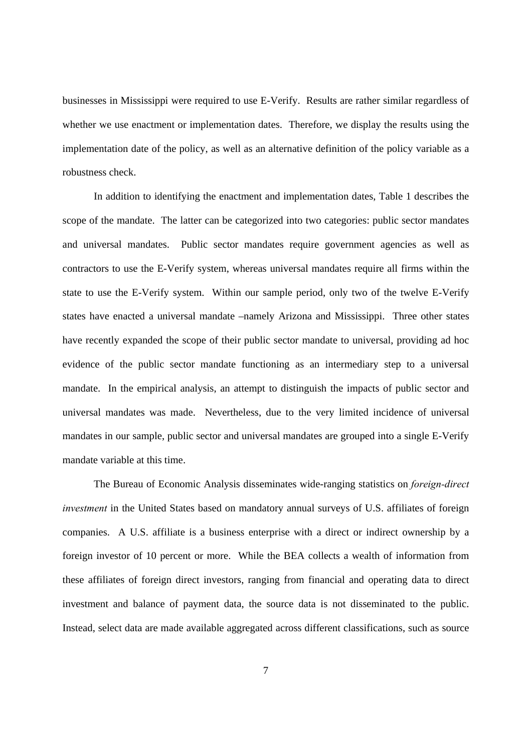businesses in Mississippi were required to use E-Verify. Results are rather similar regardless of whether we use enactment or implementation dates. Therefore, we display the results using the implementation date of the policy, as well as an alternative definition of the policy variable as a robustness check.

In addition to identifying the enactment and implementation dates, Table 1 describes the scope of the mandate. The latter can be categorized into two categories: public sector mandates and universal mandates. Public sector mandates require government agencies as well as contractors to use the E-Verify system, whereas universal mandates require all firms within the state to use the E-Verify system. Within our sample period, only two of the twelve E-Verify states have enacted a universal mandate –namely Arizona and Mississippi. Three other states have recently expanded the scope of their public sector mandate to universal, providing ad hoc evidence of the public sector mandate functioning as an intermediary step to a universal mandate. In the empirical analysis, an attempt to distinguish the impacts of public sector and universal mandates was made. Nevertheless, due to the very limited incidence of universal mandates in our sample, public sector and universal mandates are grouped into a single E-Verify mandate variable at this time.

The Bureau of Economic Analysis disseminates wide-ranging statistics on *foreign-direct investment* in the United States based on mandatory annual surveys of U.S. affiliates of foreign companies. A U.S. affiliate is a business enterprise with a direct or indirect ownership by a foreign investor of 10 percent or more. While the BEA collects a wealth of information from these affiliates of foreign direct investors, ranging from financial and operating data to direct investment and balance of payment data, the source data is not disseminated to the public. Instead, select data are made available aggregated across different classifications, such as source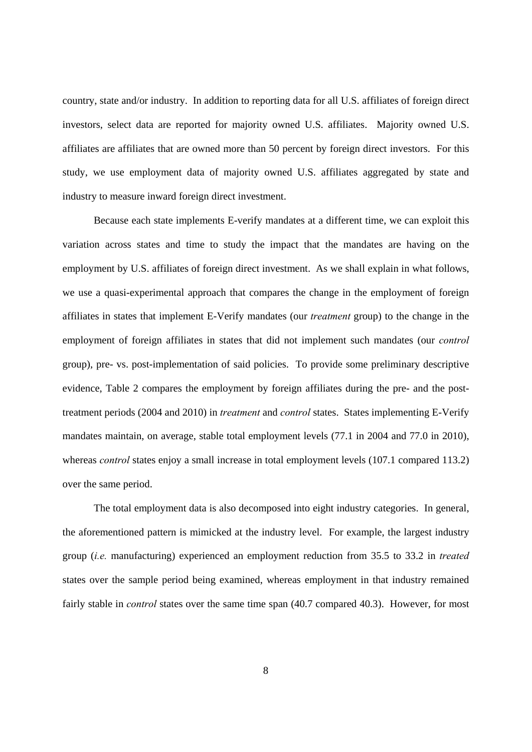country, state and/or industry. In addition to reporting data for all U.S. affiliates of foreign direct investors, select data are reported for majority owned U.S. affiliates. Majority owned U.S. affiliates are affiliates that are owned more than 50 percent by foreign direct investors. For this study, we use employment data of majority owned U.S. affiliates aggregated by state and industry to measure inward foreign direct investment.

Because each state implements E-verify mandates at a different time, we can exploit this variation across states and time to study the impact that the mandates are having on the employment by U.S. affiliates of foreign direct investment. As we shall explain in what follows, we use a quasi-experimental approach that compares the change in the employment of foreign affiliates in states that implement E-Verify mandates (our *treatment* group) to the change in the employment of foreign affiliates in states that did not implement such mandates (our *control* group), pre- vs. post-implementation of said policies. To provide some preliminary descriptive evidence, Table 2 compares the employment by foreign affiliates during the pre- and the posttreatment periods (2004 and 2010) in *treatment* and *control* states. States implementing E-Verify mandates maintain, on average, stable total employment levels (77.1 in 2004 and 77.0 in 2010), whereas *control* states enjoy a small increase in total employment levels (107.1 compared 113.2) over the same period.

The total employment data is also decomposed into eight industry categories. In general, the aforementioned pattern is mimicked at the industry level. For example, the largest industry group (*i.e.* manufacturing) experienced an employment reduction from 35.5 to 33.2 in *treated* states over the sample period being examined, whereas employment in that industry remained fairly stable in *control* states over the same time span (40.7 compared 40.3). However, for most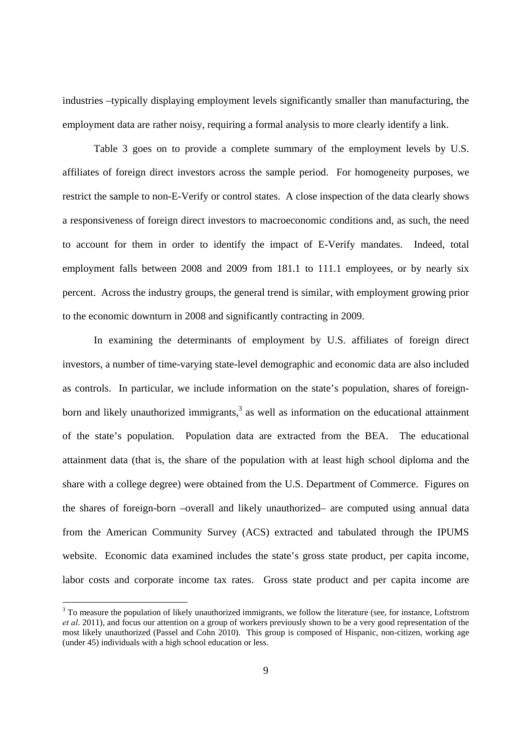industries –typically displaying employment levels significantly smaller than manufacturing, the employment data are rather noisy, requiring a formal analysis to more clearly identify a link.

Table 3 goes on to provide a complete summary of the employment levels by U.S. affiliates of foreign direct investors across the sample period. For homogeneity purposes, we restrict the sample to non-E-Verify or control states. A close inspection of the data clearly shows a responsiveness of foreign direct investors to macroeconomic conditions and, as such, the need to account for them in order to identify the impact of E-Verify mandates. Indeed, total employment falls between 2008 and 2009 from 181.1 to 111.1 employees, or by nearly six percent. Across the industry groups, the general trend is similar, with employment growing prior to the economic downturn in 2008 and significantly contracting in 2009.

In examining the determinants of employment by U.S. affiliates of foreign direct investors, a number of time-varying state-level demographic and economic data are also included as controls. In particular, we include information on the state's population, shares of foreignborn and likely unauthorized immigrants, $3$  as well as information on the educational attainment of the state's population. Population data are extracted from the BEA. The educational attainment data (that is, the share of the population with at least high school diploma and the share with a college degree) were obtained from the U.S. Department of Commerce. Figures on the shares of foreign-born –overall and likely unauthorized– are computed using annual data from the American Community Survey (ACS) extracted and tabulated through the IPUMS website. Economic data examined includes the state's gross state product, per capita income, labor costs and corporate income tax rates. Gross state product and per capita income are

-

 $3$  To measure the population of likely unauthorized immigrants, we follow the literature (see, for instance, Loftstrom *et al*. 2011), and focus our attention on a group of workers previously shown to be a very good representation of the most likely unauthorized (Passel and Cohn 2010). This group is composed of Hispanic, non-citizen, working age (under 45) individuals with a high school education or less.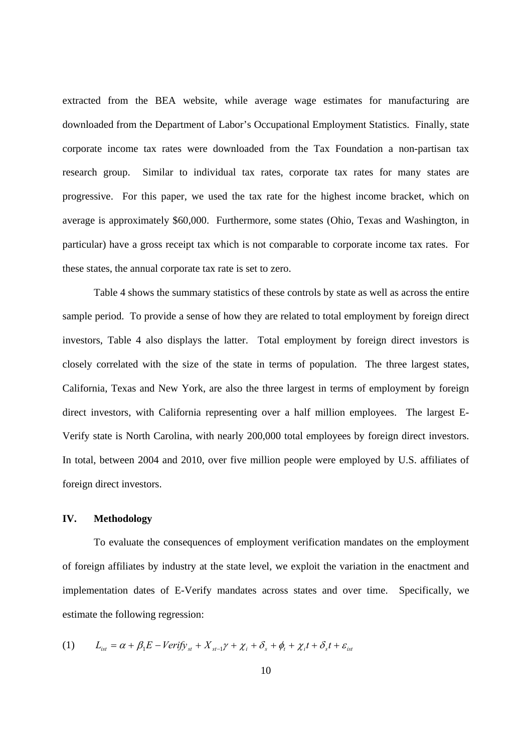extracted from the BEA website, while average wage estimates for manufacturing are downloaded from the Department of Labor's Occupational Employment Statistics. Finally, state corporate income tax rates were downloaded from the Tax Foundation a non-partisan tax research group. Similar to individual tax rates, corporate tax rates for many states are progressive. For this paper, we used the tax rate for the highest income bracket, which on average is approximately \$60,000. Furthermore, some states (Ohio, Texas and Washington, in particular) have a gross receipt tax which is not comparable to corporate income tax rates. For these states, the annual corporate tax rate is set to zero.

Table 4 shows the summary statistics of these controls by state as well as across the entire sample period. To provide a sense of how they are related to total employment by foreign direct investors, Table 4 also displays the latter. Total employment by foreign direct investors is closely correlated with the size of the state in terms of population. The three largest states, California, Texas and New York, are also the three largest in terms of employment by foreign direct investors, with California representing over a half million employees. The largest E-Verify state is North Carolina, with nearly 200,000 total employees by foreign direct investors. In total, between 2004 and 2010, over five million people were employed by U.S. affiliates of foreign direct investors.

# **IV. Methodology**

To evaluate the consequences of employment verification mandates on the employment of foreign affiliates by industry at the state level, we exploit the variation in the enactment and implementation dates of E-Verify mandates across states and over time. Specifically, we estimate the following regression:

(1) 
$$
L_{ist} = \alpha + \beta_1 E - Verify_{st} + X_{st-1}\gamma + \chi_i + \delta_s + \phi_t + \chi_i t + \delta_s t + \varepsilon_{ist}
$$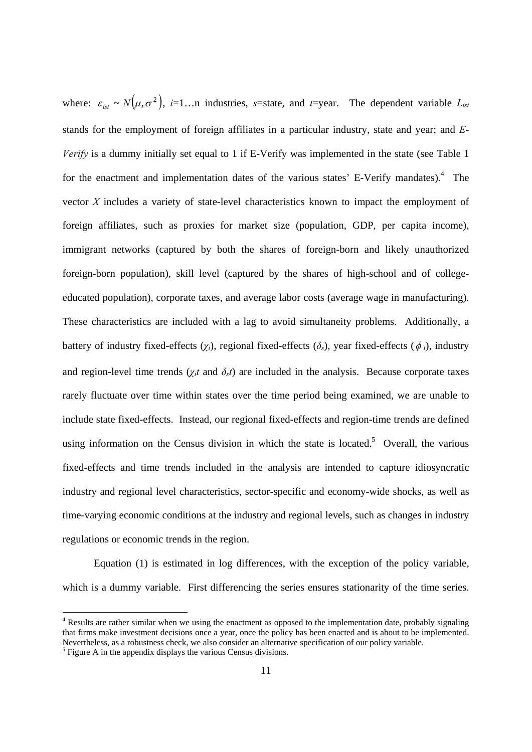where:  $\varepsilon_{i_{\text{est}}} \sim N(\mu, \sigma^2)$ , *i*=1…n industries, *s*=state, and *t*=year. The dependent variable  $L_{ist}$ stands for the employment of foreign affiliates in a particular industry, state and year; and *E-Verify* is a dummy initially set equal to 1 if E-Verify was implemented in the state (see Table 1) for the enactment and implementation dates of the various states' E-Verify mandates).<sup>4</sup> The vector *X* includes a variety of state-level characteristics known to impact the employment of foreign affiliates, such as proxies for market size (population, GDP, per capita income), immigrant networks (captured by both the shares of foreign-born and likely unauthorized foreign-born population), skill level (captured by the shares of high-school and of collegeeducated population), corporate taxes, and average labor costs (average wage in manufacturing). These characteristics are included with a lag to avoid simultaneity problems. Additionally, a battery of industry fixed-effects  $(\chi_i)$ , regional fixed-effects  $(\delta_s)$ , year fixed-effects  $(\phi_i)$ , industry and region-level time trends ( $\chi_i t$  and  $\delta_s t$ ) are included in the analysis. Because corporate taxes rarely fluctuate over time within states over the time period being examined, we are unable to include state fixed-effects. Instead, our regional fixed-effects and region-time trends are defined using information on the Census division in which the state is located.<sup>5</sup> Overall, the various fixed-effects and time trends included in the analysis are intended to capture idiosyncratic industry and regional level characteristics, sector-specific and economy-wide shocks, as well as time-varying economic conditions at the industry and regional levels, such as changes in industry regulations or economic trends in the region.

Equation (1) is estimated in log differences, with the exception of the policy variable, which is a dummy variable. First differencing the series ensures stationarity of the time series.

-

<sup>&</sup>lt;sup>4</sup> Results are rather similar when we using the enactment as opposed to the implementation date, probably signaling that firms make investment decisions once a year, once the policy has been enacted and is about to be implemented. Nevertheless, as a robustness check, we also consider an alternative specification of our policy variable.

 $<sup>5</sup>$  Figure A in the appendix displays the various Census divisions.</sup>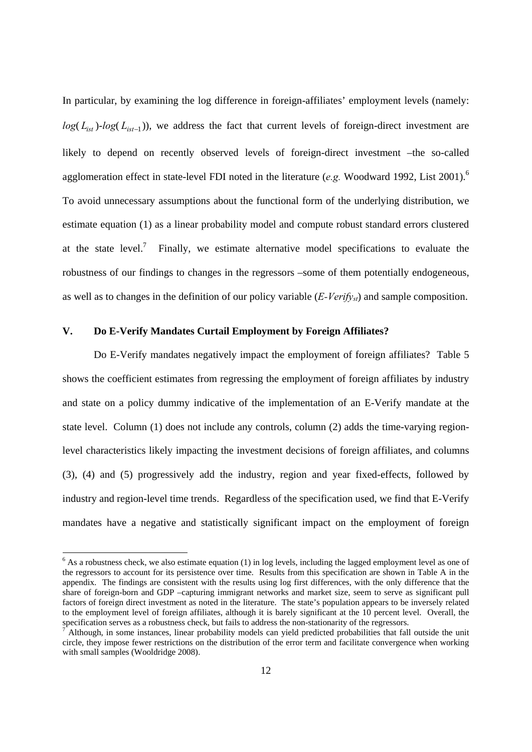In particular, by examining the log difference in foreign-affiliates' employment levels (namely:  $log(L_{ist})$ - $log(L_{ist-1})$ ), we address the fact that current levels of foreign-direct investment are likely to depend on recently observed levels of foreign-direct investment –the so-called agglomeration effect in state-level FDI noted in the literature (*e.g.* Woodward 1992, List 2001).6 To avoid unnecessary assumptions about the functional form of the underlying distribution, we estimate equation (1) as a linear probability model and compute robust standard errors clustered at the state level.<sup>7</sup> Finally, we estimate alternative model specifications to evaluate the robustness of our findings to changes in the regressors –some of them potentially endogeneous, as well as to changes in the definition of our policy variable (*E-Verifyst*) and sample composition.

# **V. Do E-Verify Mandates Curtail Employment by Foreign Affiliates?**

-

 Do E-Verify mandates negatively impact the employment of foreign affiliates? Table 5 shows the coefficient estimates from regressing the employment of foreign affiliates by industry and state on a policy dummy indicative of the implementation of an E-Verify mandate at the state level. Column (1) does not include any controls, column (2) adds the time-varying regionlevel characteristics likely impacting the investment decisions of foreign affiliates, and columns (3), (4) and (5) progressively add the industry, region and year fixed-effects, followed by industry and region-level time trends. Regardless of the specification used, we find that E-Verify mandates have a negative and statistically significant impact on the employment of foreign

 $6$  As a robustness check, we also estimate equation (1) in log levels, including the lagged employment level as one of the regressors to account for its persistence over time. Results from this specification are shown in Table A in the appendix. The findings are consistent with the results using log first differences, with the only difference that the share of foreign-born and GDP –capturing immigrant networks and market size, seem to serve as significant pull factors of foreign direct investment as noted in the literature. The state's population appears to be inversely related to the employment level of foreign affiliates, although it is barely significant at the 10 percent level. Overall, the specification serves as a robustness check, but fails to address the non-stationarity of the regressors.

<sup>7</sup> Although, in some instances, linear probability models can yield predicted probabilities that fall outside the unit circle, they impose fewer restrictions on the distribution of the error term and facilitate convergence when working with small samples (Wooldridge 2008).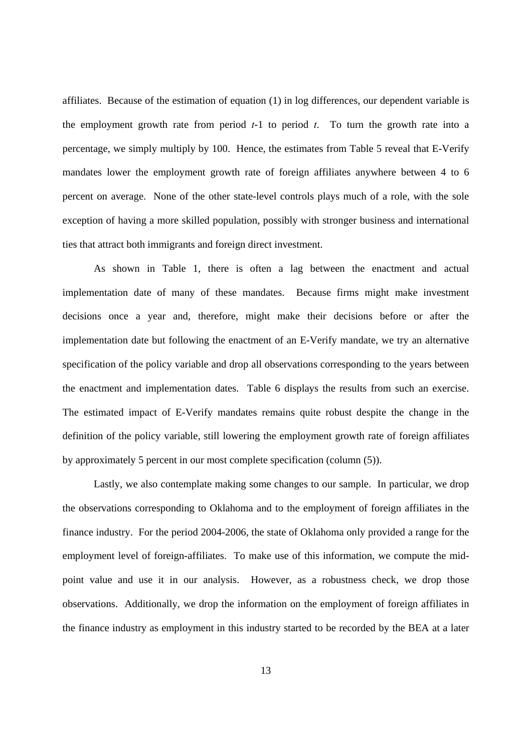affiliates. Because of the estimation of equation (1) in log differences, our dependent variable is the employment growth rate from period *t*-1 to period *t*. To turn the growth rate into a percentage, we simply multiply by 100. Hence, the estimates from Table 5 reveal that E-Verify mandates lower the employment growth rate of foreign affiliates anywhere between 4 to 6 percent on average. None of the other state-level controls plays much of a role, with the sole exception of having a more skilled population, possibly with stronger business and international ties that attract both immigrants and foreign direct investment.

 As shown in Table 1, there is often a lag between the enactment and actual implementation date of many of these mandates. Because firms might make investment decisions once a year and, therefore, might make their decisions before or after the implementation date but following the enactment of an E-Verify mandate, we try an alternative specification of the policy variable and drop all observations corresponding to the years between the enactment and implementation dates. Table 6 displays the results from such an exercise. The estimated impact of E-Verify mandates remains quite robust despite the change in the definition of the policy variable, still lowering the employment growth rate of foreign affiliates by approximately 5 percent in our most complete specification (column (5)).

 Lastly, we also contemplate making some changes to our sample. In particular, we drop the observations corresponding to Oklahoma and to the employment of foreign affiliates in the finance industry. For the period 2004-2006, the state of Oklahoma only provided a range for the employment level of foreign-affiliates. To make use of this information, we compute the midpoint value and use it in our analysis. However, as a robustness check, we drop those observations. Additionally, we drop the information on the employment of foreign affiliates in the finance industry as employment in this industry started to be recorded by the BEA at a later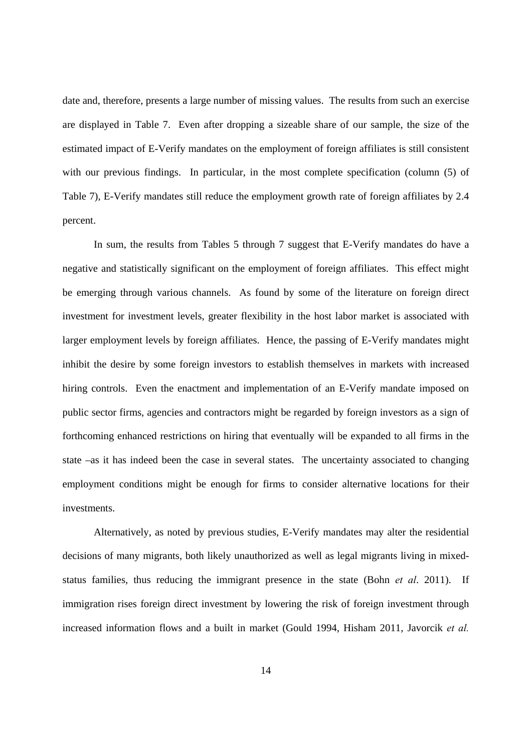date and, therefore, presents a large number of missing values. The results from such an exercise are displayed in Table 7. Even after dropping a sizeable share of our sample, the size of the estimated impact of E-Verify mandates on the employment of foreign affiliates is still consistent with our previous findings. In particular, in the most complete specification (column (5) of Table 7), E-Verify mandates still reduce the employment growth rate of foreign affiliates by 2.4 percent.

 In sum, the results from Tables 5 through 7 suggest that E-Verify mandates do have a negative and statistically significant on the employment of foreign affiliates. This effect might be emerging through various channels. As found by some of the literature on foreign direct investment for investment levels, greater flexibility in the host labor market is associated with larger employment levels by foreign affiliates. Hence, the passing of E-Verify mandates might inhibit the desire by some foreign investors to establish themselves in markets with increased hiring controls. Even the enactment and implementation of an E-Verify mandate imposed on public sector firms, agencies and contractors might be regarded by foreign investors as a sign of forthcoming enhanced restrictions on hiring that eventually will be expanded to all firms in the state –as it has indeed been the case in several states. The uncertainty associated to changing employment conditions might be enough for firms to consider alternative locations for their investments.

 Alternatively, as noted by previous studies, E-Verify mandates may alter the residential decisions of many migrants, both likely unauthorized as well as legal migrants living in mixedstatus families, thus reducing the immigrant presence in the state (Bohn *et al*. 2011). If immigration rises foreign direct investment by lowering the risk of foreign investment through increased information flows and a built in market (Gould 1994, Hisham 2011, Javorcik *et al.*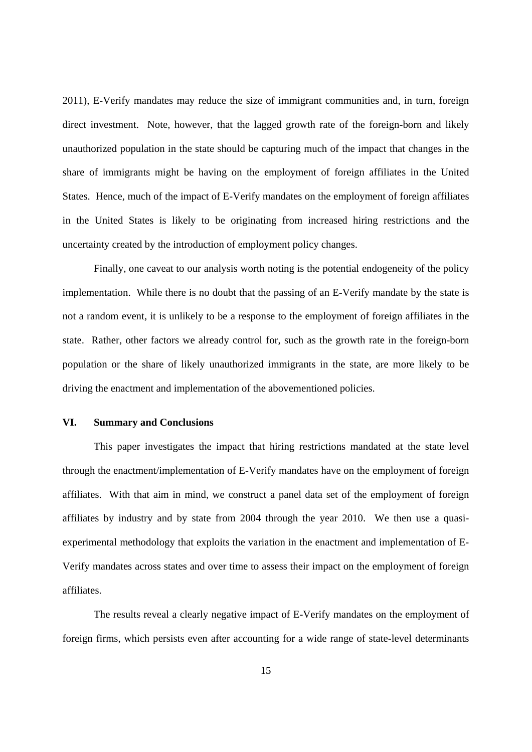2011), E-Verify mandates may reduce the size of immigrant communities and, in turn, foreign direct investment. Note, however, that the lagged growth rate of the foreign-born and likely unauthorized population in the state should be capturing much of the impact that changes in the share of immigrants might be having on the employment of foreign affiliates in the United States. Hence, much of the impact of E-Verify mandates on the employment of foreign affiliates in the United States is likely to be originating from increased hiring restrictions and the uncertainty created by the introduction of employment policy changes.

 Finally, one caveat to our analysis worth noting is the potential endogeneity of the policy implementation. While there is no doubt that the passing of an E-Verify mandate by the state is not a random event, it is unlikely to be a response to the employment of foreign affiliates in the state. Rather, other factors we already control for, such as the growth rate in the foreign-born population or the share of likely unauthorized immigrants in the state, are more likely to be driving the enactment and implementation of the abovementioned policies.

## **VI. Summary and Conclusions**

 This paper investigates the impact that hiring restrictions mandated at the state level through the enactment/implementation of E-Verify mandates have on the employment of foreign affiliates. With that aim in mind, we construct a panel data set of the employment of foreign affiliates by industry and by state from 2004 through the year 2010. We then use a quasiexperimental methodology that exploits the variation in the enactment and implementation of E-Verify mandates across states and over time to assess their impact on the employment of foreign affiliates.

 The results reveal a clearly negative impact of E-Verify mandates on the employment of foreign firms, which persists even after accounting for a wide range of state-level determinants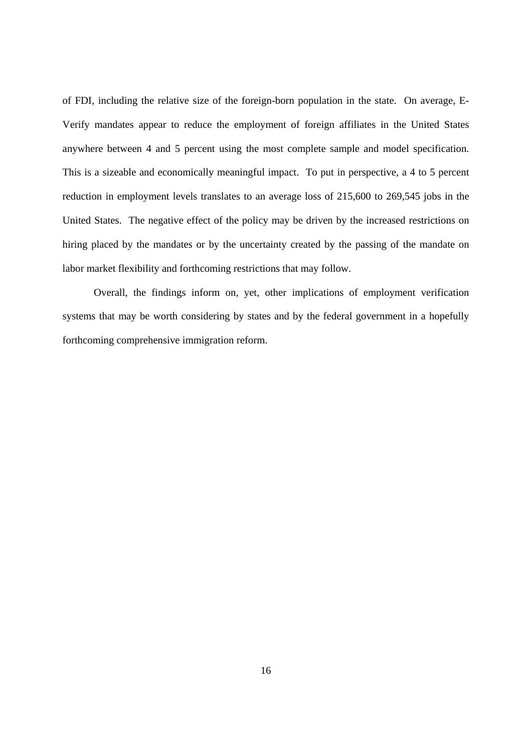of FDI, including the relative size of the foreign-born population in the state. On average, E-Verify mandates appear to reduce the employment of foreign affiliates in the United States anywhere between 4 and 5 percent using the most complete sample and model specification. This is a sizeable and economically meaningful impact. To put in perspective, a 4 to 5 percent reduction in employment levels translates to an average loss of 215,600 to 269,545 jobs in the United States. The negative effect of the policy may be driven by the increased restrictions on hiring placed by the mandates or by the uncertainty created by the passing of the mandate on labor market flexibility and forthcoming restrictions that may follow.

 Overall, the findings inform on, yet, other implications of employment verification systems that may be worth considering by states and by the federal government in a hopefully forthcoming comprehensive immigration reform.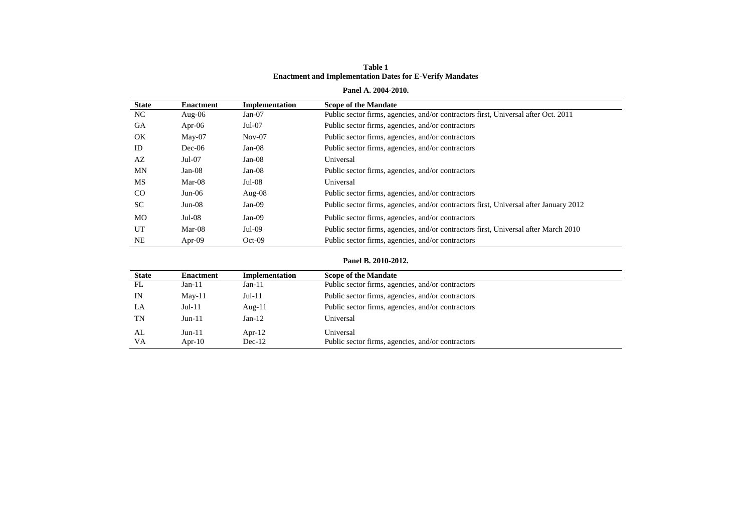#### **Table 1 Enactment and Implementation Dates for E-Verify Mandates**

#### **Panel A. 2004-2010.**

| <b>State</b> | <b>Enactment</b> | Implementation | <b>Scope of the Mandate</b>                                                           |
|--------------|------------------|----------------|---------------------------------------------------------------------------------------|
| NC.          | Aug- $06$        | $Jan-07$       | Public sector firms, agencies, and/or contractors first, Universal after Oct. 2011    |
| GA           | Apr- $06$        | $Jul-07$       | Public sector firms, agencies, and/or contractors                                     |
| OK           | $M$ ay-07        | $Nov-07$       | Public sector firms, agencies, and/or contractors                                     |
| ID           | $Dec-06$         | $Jan-08$       | Public sector firms, agencies, and/or contractors                                     |
| AZ           | $Jul-07$         | $Jan-08$       | Universal                                                                             |
| <b>MN</b>    | $Jan-08$         | $Jan-08$       | Public sector firms, agencies, and/or contractors                                     |
| <b>MS</b>    | $Mar-08$         | $Jul-08$       | Universal                                                                             |
| CO           | $Jun-06$         | Aug- $08$      | Public sector firms, agencies, and/or contractors                                     |
| <b>SC</b>    | $Jun-08$         | $Jan-09$       | Public sector firms, agencies, and/or contractors first, Universal after January 2012 |
| MO           | $Jul-08$         | $Jan-09$       | Public sector firms, agencies, and/or contractors                                     |
| UT           | $Mar-08$         | $Jul-09$       | Public sector firms, agencies, and/or contractors first, Universal after March 2010   |
| <b>NE</b>    | Apr- $09$        | $Oct-09$       | Public sector firms, agencies, and/or contractors                                     |

#### **Panel B. 2010-2012.**

| <b>State</b>    | <b>Enactment</b>      | <b>Implementation</b> | <b>Scope of the Mandate</b>                                    |
|-----------------|-----------------------|-----------------------|----------------------------------------------------------------|
| FL              | $Jan-11$              | $Jan-11$              | Public sector firms, agencies, and/or contractors              |
| IN              | $May-11$              | $Jul-11$              | Public sector firms, agencies, and/or contractors              |
| LA              | $Jul-11$              | Aug- $11$             | Public sector firms, agencies, and/or contractors              |
| TN              | $Jun-11$              | $Jan-12$              | Universal                                                      |
| AL<br><b>VA</b> | $Jun-11$<br>Apr- $10$ | Apr- $12$<br>$Dec-12$ | Universal<br>Public sector firms, agencies, and/or contractors |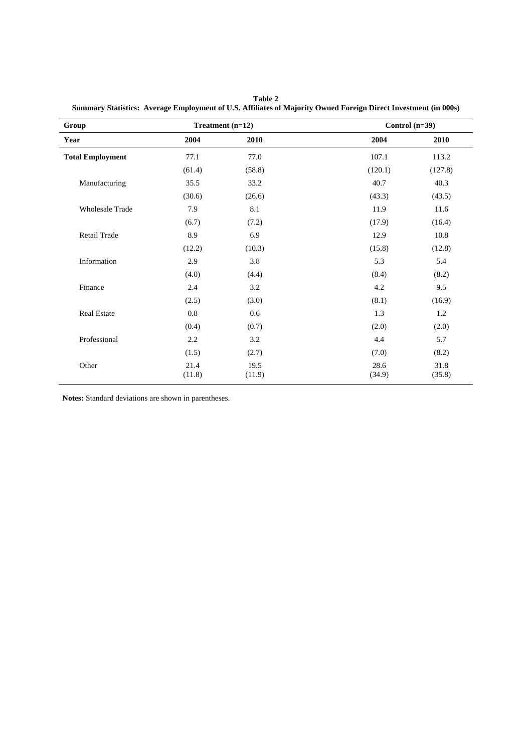| Group                   |                | Treatment (n=12) |                | Control $(n=39)$ |
|-------------------------|----------------|------------------|----------------|------------------|
| Year                    | 2004           | 2010             | 2004           | 2010             |
| <b>Total Employment</b> | 77.1           | 77.0             | 107.1          | 113.2            |
|                         | (61.4)         | (58.8)           | (120.1)        | (127.8)          |
| Manufacturing           | 35.5           | 33.2             | 40.7           | 40.3             |
|                         | (30.6)         | (26.6)           | (43.3)         | (43.5)           |
| <b>Wholesale Trade</b>  | 7.9            | 8.1              | 11.9           | 11.6             |
|                         | (6.7)          | (7.2)            | (17.9)         | (16.4)           |
| Retail Trade            | 8.9            | 6.9              | 12.9           | 10.8             |
|                         | (12.2)         | (10.3)           | (15.8)         | (12.8)           |
| Information             | 2.9            | 3.8              | 5.3            | 5.4              |
|                         | (4.0)          | (4.4)            | (8.4)          | (8.2)            |
| Finance                 | 2.4            | 3.2              | 4.2            | 9.5              |
|                         | (2.5)          | (3.0)            | (8.1)          | (16.9)           |
| <b>Real Estate</b>      | $0.8\,$        | 0.6              | 1.3            | 1.2              |
|                         | (0.4)          | (0.7)            | (2.0)          | (2.0)            |
| Professional            | 2.2            | 3.2              | 4.4            | 5.7              |
|                         | (1.5)          | (2.7)            | (7.0)          | (8.2)            |
| Other                   | 21.4<br>(11.8) | 19.5<br>(11.9)   | 28.6<br>(34.9) | 31.8<br>(35.8)   |

**Table 2 Summary Statistics: Average Employment of U.S. Affiliates of Majority Owned Foreign Direct Investment (in 000s)**

**Notes:** Standard deviations are shown in parentheses.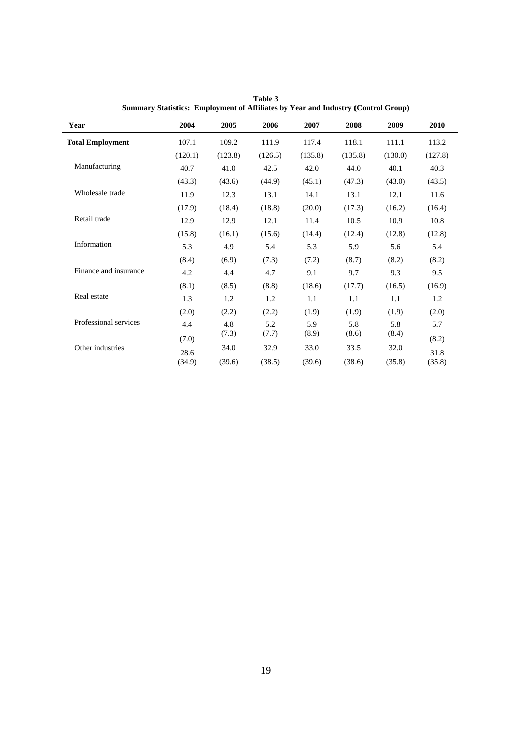| Year                    | 2004    | 2005    | 2006    | 2007    | 2008    | 2009    | 2010    |
|-------------------------|---------|---------|---------|---------|---------|---------|---------|
| <b>Total Employment</b> | 107.1   | 109.2   | 111.9   | 117.4   | 118.1   | 111.1   | 113.2   |
|                         | (120.1) | (123.8) | (126.5) | (135.8) | (135.8) | (130.0) | (127.8) |
| Manufacturing           | 40.7    | 41.0    | 42.5    | 42.0    | 44.0    | 40.1    | 40.3    |
|                         | (43.3)  | (43.6)  | (44.9)  | (45.1)  | (47.3)  | (43.0)  | (43.5)  |
| Wholesale trade         | 11.9    | 12.3    | 13.1    | 14.1    | 13.1    | 12.1    | 11.6    |
|                         | (17.9)  | (18.4)  | (18.8)  | (20.0)  | (17.3)  | (16.2)  | (16.4)  |
| Retail trade            | 12.9    | 12.9    | 12.1    | 11.4    | 10.5    | 10.9    | 10.8    |
|                         | (15.8)  | (16.1)  | (15.6)  | (14.4)  | (12.4)  | (12.8)  | (12.8)  |
| Information             | 5.3     | 4.9     | 5.4     | 5.3     | 5.9     | 5.6     | 5.4     |
|                         | (8.4)   | (6.9)   | (7.3)   | (7.2)   | (8.7)   | (8.2)   | (8.2)   |
| Finance and insurance   | 4.2     | 4.4     | 4.7     | 9.1     | 9.7     | 9.3     | 9.5     |
|                         | (8.1)   | (8.5)   | (8.8)   | (18.6)  | (17.7)  | (16.5)  | (16.9)  |
| Real estate             | 1.3     | 1.2     | 1.2     | 1.1     | 1.1     | 1.1     | 1.2     |
|                         | (2.0)   | (2.2)   | (2.2)   | (1.9)   | (1.9)   | (1.9)   | (2.0)   |
| Professional services   | 4.4     | 4.8     | 5.2     | 5.9     | 5.8     | 5.8     | 5.7     |
|                         | (7.0)   | (7.3)   | (7.7)   | (8.9)   | (8.6)   | (8.4)   | (8.2)   |
| Other industries        | 28.6    | 34.0    | 32.9    | 33.0    | 33.5    | 32.0    | 31.8    |
|                         | (34.9)  | (39.6)  | (38.5)  | (39.6)  | (38.6)  | (35.8)  | (35.8)  |

**Table 3 Summary Statistics: Employment of Affiliates by Year and Industry (Control Group)**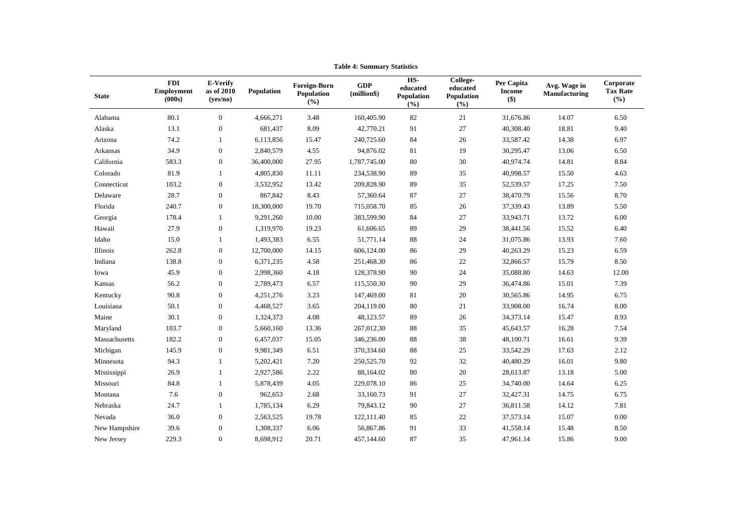| <b>State</b>  | <b>FDI</b><br><b>Employment</b><br>(000s) | E-Verify<br>as of 2010<br>(yes/no) | Population | <b>Foreign-Born</b><br>Population<br>(%) | <b>GDP</b><br>(million\$) | HS-<br>educated<br>Population<br>(° <sub>0</sub> ) | College-<br>educated<br>Population<br>(%) | Per Capita<br><b>Income</b><br>\$) | Avg. Wage in<br>Manufacturing | Corporate<br><b>Tax Rate</b><br>(%) |
|---------------|-------------------------------------------|------------------------------------|------------|------------------------------------------|---------------------------|----------------------------------------------------|-------------------------------------------|------------------------------------|-------------------------------|-------------------------------------|
| Alabama       | 80.1                                      | $\overline{0}$                     | 4,666,271  | 3.48                                     | 160,405.90                | 82                                                 | 21                                        | 31,676.86                          | 14.07                         | 6.50                                |
| Alaska        | 13.1                                      | $\boldsymbol{0}$                   | 681,437    | 8.09                                     | 42,770.21                 | 91                                                 | 27                                        | 40,308.40                          | 18.81                         | 9.40                                |
| Arizona       | 74.2                                      | 1                                  | 6,113,856  | 15.47                                    | 240,725.60                | 84                                                 | 26                                        | 33,587.42                          | 14.38                         | 6.97                                |
| Arkansas      | 34.9                                      | $\boldsymbol{0}$                   | 2,840,579  | 4.55                                     | 94,876.02                 | 81                                                 | 19                                        | 30,295.47                          | 13.06                         | 6.50                                |
| California    | 583.3                                     | $\boldsymbol{0}$                   | 36,400,000 | 27.95                                    | 1,787,745.00              | 80                                                 | 30                                        | 40,974.74                          | 14.81                         | 8.84                                |
| Colorado      | 81.9                                      |                                    | 4,805,830  | 11.11                                    | 234,538.90                | 89                                                 | 35                                        | 40,998.57                          | 15.50                         | 4.63                                |
| Connecticut   | 103.2                                     | $\boldsymbol{0}$                   | 3,532,952  | 13.42                                    | 209,828.90                | 89                                                 | 35                                        | 52,539.57                          | 17.25                         | 7.50                                |
| Delaware      | 28.7                                      | $\boldsymbol{0}$                   | 867,842    | 8.43                                     | 57,360.64                 | 87                                                 | 27                                        | 38,470.79                          | 15.56                         | 8.70                                |
| Florida       | 240.7                                     | $\bf{0}$                           | 18,300,000 | 19.70                                    | 715,058.70                | 85                                                 | 26                                        | 37,339.43                          | 13.89                         | 5.50                                |
| Georgia       | 178.4                                     |                                    | 9,291,260  | 10.00                                    | 383,599.90                | 84                                                 | 27                                        | 33,943.71                          | 13.72                         | 6.00                                |
| Hawaii        | 27.9                                      | $\boldsymbol{0}$                   | 1,319,970  | 19.23                                    | 61,606.65                 | 89                                                 | 29                                        | 38,441.56                          | 15.52                         | 6.40                                |
| Idaho         | 15.0                                      | 1                                  | 1,493,383  | 6.55                                     | 51,771.14                 | $88\,$                                             | 24                                        | 31,075.86                          | 13.93                         | 7.60                                |
| Illinois      | 262.8                                     | $\boldsymbol{0}$                   | 12,700,000 | 14.15                                    | 606,124.00                | 86                                                 | 29                                        | 40,263.29                          | 15.23                         | 6.59                                |
| Indiana       | 138.8                                     | $\boldsymbol{0}$                   | 6,371,235  | 4.58                                     | 251,468.30                | 86                                                 | 22                                        | 32,866.57                          | 15.79                         | 8.50                                |
| Iowa          | 45.9                                      | $\boldsymbol{0}$                   | 2,998,360  | 4.18                                     | 128,378.90                | 90                                                 | 24                                        | 35,088.80                          | 14.63                         | 12.00                               |
| Kansas        | 56.2                                      | $\boldsymbol{0}$                   | 2,789,473  | 6.57                                     | 115,550.30                | 90                                                 | 29                                        | 36,474.86                          | 15.01                         | 7.39                                |
| Kentucky      | 90.8                                      | $\boldsymbol{0}$                   | 4,251,276  | 3.23                                     | 147,469.00                | 81                                                 | 20                                        | 30,565.86                          | 14.95                         | 6.75                                |
| Louisiana     | 50.1                                      | $\boldsymbol{0}$                   | 4,468,527  | 3.65                                     | 204,119.00                | 80                                                 | 21                                        | 33,908.00                          | 16.74                         | 8.00                                |
| Maine         | 30.1                                      | $\boldsymbol{0}$                   | 1,324,373  | 4.08                                     | 48,123.57                 | 89                                                 | $26\,$                                    | 34,373.14                          | 15.47                         | 8.93                                |
| Maryland      | 103.7                                     | $\boldsymbol{0}$                   | 5,660,160  | 13.36                                    | 267,012.30                | 88                                                 | 35                                        | 45,643.57                          | 16.28                         | 7.54                                |
| Massachusetts | 182.2                                     | $\boldsymbol{0}$                   | 6,457,037  | 15.05                                    | 346,236.00                | 88                                                 | 38                                        | 48,100.71                          | 16.61                         | 9.39                                |
| Michigan      | 145.9                                     | $\boldsymbol{0}$                   | 9,981,349  | 6.51                                     | 370,334.60                | 88                                                 | 25                                        | 33,542.29                          | 17.63                         | 2.12                                |
| Minnesota     | 94.3                                      |                                    | 5,202,421  | 7.20                                     | 250,525.70                | 92                                                 | 32                                        | 40,480.29                          | 16.01                         | 9.80                                |
| Mississippi   | 26.9                                      | 1                                  | 2,927,586  | 2.22                                     | 88,164.02                 | 80                                                 | 20                                        | 28,613.87                          | 13.18                         | 5.00                                |
| Missouri      | 84.8                                      |                                    | 5,878,439  | 4.05                                     | 229,078.10                | 86                                                 | 25                                        | 34,740.00                          | 14.64                         | 6.25                                |
| Montana       | 7.6                                       | $\boldsymbol{0}$                   | 962,653    | 2.68                                     | 33,160.73                 | 91                                                 | 27                                        | 32,427.31                          | 14.75                         | 6.75                                |
| Nebraska      | 24.7                                      |                                    | 1,785,134  | 6.29                                     | 79,843.12                 | 90                                                 | $27\,$                                    | 36,811.58                          | 14.12                         | 7.81                                |
| Nevada        | 36.0                                      | $\boldsymbol{0}$                   | 2,563,525  | 19.78                                    | 122,111.40                | 85                                                 | 22                                        | 37,573.14                          | 15.07                         | 0.00                                |
| New Hampshire | 39.6                                      | $\boldsymbol{0}$                   | 1,308,337  | 6.06                                     | 56,867.86                 | 91                                                 | 33                                        | 41,558.14                          | 15.48                         | 8.50                                |
| New Jersey    | 229.3                                     | $\overline{0}$                     | 8,698,912  | 20.71                                    | 457,144.60                | 87                                                 | 35                                        | 47,961.14                          | 15.86                         | 9.00                                |

**Table 4: Summary Statistics**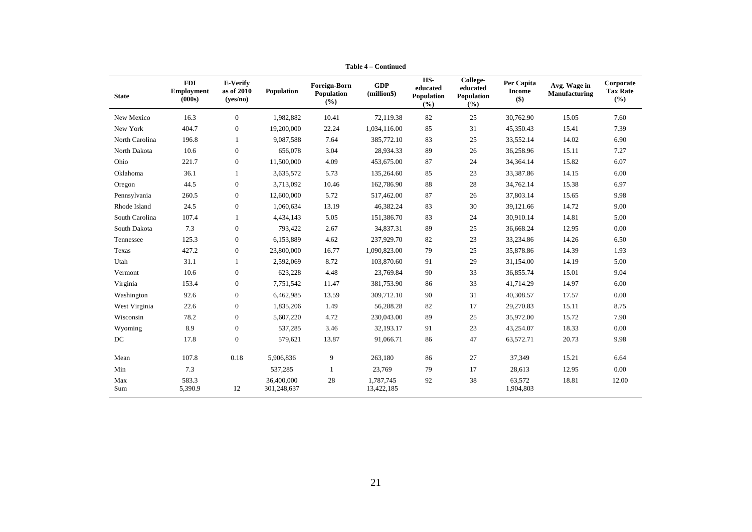| <b>State</b>   | <b>FDI</b><br><b>Employment</b><br>(000s) | E-Verify<br>as of 2010<br>( <b>ves/no</b> ) | Population                | Foreign-Born<br>Population<br>(%) | <b>GDP</b><br>(million\$) | HS-<br>educated<br>Population<br>(%) | College-<br>educated<br>Population<br>$($ %) | Per Capita<br><b>Income</b><br>\$) | Avg. Wage in<br>Manufacturing | Corporate<br><b>Tax Rate</b><br>(%) |
|----------------|-------------------------------------------|---------------------------------------------|---------------------------|-----------------------------------|---------------------------|--------------------------------------|----------------------------------------------|------------------------------------|-------------------------------|-------------------------------------|
| New Mexico     | 16.3                                      | $\overline{0}$                              | 1,982,882                 | 10.41                             | 72,119.38                 | 82                                   | 25                                           | 30,762.90                          | 15.05                         | 7.60                                |
| New York       | 404.7                                     | $\boldsymbol{0}$                            | 19,200,000                | 22.24                             | 1,034,116.00              | 85                                   | 31                                           | 45,350.43                          | 15.41                         | 7.39                                |
| North Carolina | 196.8                                     |                                             | 9,087,588                 | 7.64                              | 385,772.10                | 83                                   | 25                                           | 33,552.14                          | 14.02                         | 6.90                                |
| North Dakota   | 10.6                                      | $\boldsymbol{0}$                            | 656,078                   | 3.04                              | 28,934.33                 | 89                                   | 26                                           | 36,258.96                          | 15.11                         | 7.27                                |
| Ohio           | 221.7                                     | $\boldsymbol{0}$                            | 11,500,000                | 4.09                              | 453,675.00                | 87                                   | 24                                           | 34,364.14                          | 15.82                         | 6.07                                |
| Oklahoma       | 36.1                                      | $\mathbf{1}$                                | 3,635,572                 | 5.73                              | 135,264.60                | 85                                   | 23                                           | 33,387.86                          | 14.15                         | 6.00                                |
| Oregon         | 44.5                                      | $\boldsymbol{0}$                            | 3,713,092                 | 10.46                             | 162,786.90                | 88                                   | 28                                           | 34,762.14                          | 15.38                         | 6.97                                |
| Pennsylvania   | 260.5                                     | $\boldsymbol{0}$                            | 12,600,000                | 5.72                              | 517,462.00                | 87                                   | 26                                           | 37,803.14                          | 15.65                         | 9.98                                |
| Rhode Island   | 24.5                                      | $\boldsymbol{0}$                            | 1,060,634                 | 13.19                             | 46,382.24                 | 83                                   | 30                                           | 39,121.66                          | 14.72                         | 9.00                                |
| South Carolina | 107.4                                     |                                             | 4,434,143                 | 5.05                              | 151,386.70                | 83                                   | 24                                           | 30,910.14                          | 14.81                         | 5.00                                |
| South Dakota   | 7.3                                       | $\boldsymbol{0}$                            | 793,422                   | 2.67                              | 34,837.31                 | 89                                   | 25                                           | 36,668.24                          | 12.95                         | 0.00                                |
| Tennessee      | 125.3                                     | $\overline{0}$                              | 6,153,889                 | 4.62                              | 237,929.70                | 82                                   | 23                                           | 33,234.86                          | 14.26                         | 6.50                                |
| Texas          | 427.2                                     | $\boldsymbol{0}$                            | 23,800,000                | 16.77                             | 1,090,823.00              | 79                                   | 25                                           | 35,878.86                          | 14.39                         | 1.93                                |
| Utah           | 31.1                                      | $\mathbf{1}$                                | 2,592,069                 | 8.72                              | 103,870.60                | 91                                   | 29                                           | 31,154.00                          | 14.19                         | 5.00                                |
| Vermont        | 10.6                                      | $\boldsymbol{0}$                            | 623,228                   | 4.48                              | 23,769.84                 | 90                                   | 33                                           | 36,855.74                          | 15.01                         | 9.04                                |
| Virginia       | 153.4                                     | $\boldsymbol{0}$                            | 7,751,542                 | 11.47                             | 381,753.90                | 86                                   | 33                                           | 41,714.29                          | 14.97                         | 6.00                                |
| Washington     | 92.6                                      | $\mathbf{0}$                                | 6,462,985                 | 13.59                             | 309,712.10                | 90                                   | 31                                           | 40,308.57                          | 17.57                         | 0.00                                |
| West Virginia  | 22.6                                      | $\boldsymbol{0}$                            | 1,835,206                 | 1.49                              | 56,288.28                 | 82                                   | 17                                           | 29,270.83                          | 15.11                         | 8.75                                |
| Wisconsin      | 78.2                                      | $\overline{0}$                              | 5,607,220                 | 4.72                              | 230,043.00                | 89                                   | 25                                           | 35,972.00                          | 15.72                         | 7.90                                |
| Wyoming        | 8.9                                       | $\overline{0}$                              | 537,285                   | 3.46                              | 32,193.17                 | 91                                   | 23                                           | 43,254.07                          | 18.33                         | 0.00                                |
| DC             | 17.8                                      | $\boldsymbol{0}$                            | 579,621                   | 13.87                             | 91,066.71                 | 86                                   | 47                                           | 63,572.71                          | 20.73                         | 9.98                                |
| Mean           | 107.8                                     | 0.18                                        | 5,906,836                 | 9                                 | 263,180                   | 86                                   | 27                                           | 37,349                             | 15.21                         | 6.64                                |
| Min            | 7.3                                       |                                             | 537,285                   |                                   | 23,769                    | 79                                   | 17                                           | 28,613                             | 12.95                         | 0.00                                |
| Max<br>Sum     | 583.3<br>5,390.9                          | 12                                          | 36,400,000<br>301,248,637 | 28                                | 1,787,745<br>13,422,185   | 92                                   | 38                                           | 63,572<br>1,904,803                | 18.81                         | 12.00                               |

**Table 4 – Continued**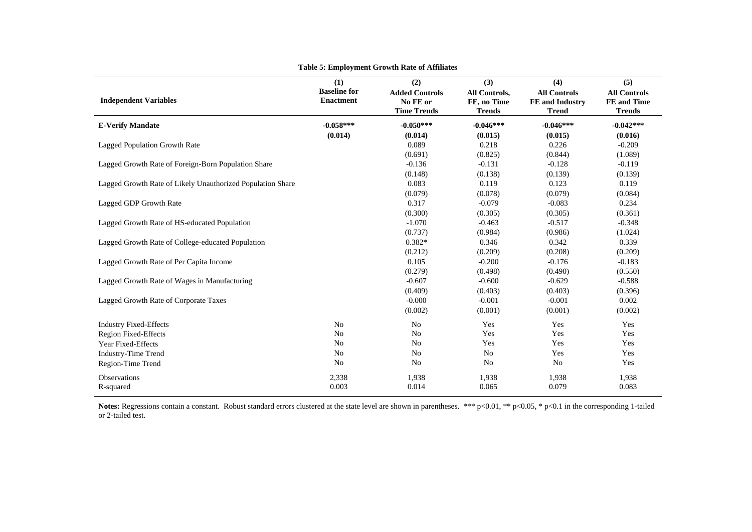| <b>Independent Variables</b>                               | (1)<br><b>Baseline for</b><br><b>Enactment</b> | (2)<br><b>Added Controls</b><br>No FE or<br><b>Time Trends</b> | (3)<br>All Controls,<br>FE, no Time<br><b>Trends</b> | (4)<br><b>All Controls</b><br><b>FE</b> and Industry<br><b>Trend</b> | (5)<br><b>All Controls</b><br><b>FE</b> and Time<br><b>Trends</b> |
|------------------------------------------------------------|------------------------------------------------|----------------------------------------------------------------|------------------------------------------------------|----------------------------------------------------------------------|-------------------------------------------------------------------|
| <b>E-Verify Mandate</b>                                    | $-0.058***$                                    | $-0.050***$                                                    | $-0.046***$                                          | $-0.046***$                                                          | $-0.042***$                                                       |
|                                                            | (0.014)                                        | (0.014)                                                        | (0.015)                                              | (0.015)                                                              | (0.016)                                                           |
| Lagged Population Growth Rate                              |                                                | 0.089                                                          | 0.218                                                | 0.226                                                                | $-0.209$                                                          |
|                                                            |                                                | (0.691)                                                        | (0.825)                                              | (0.844)                                                              | (1.089)                                                           |
| Lagged Growth Rate of Foreign-Born Population Share        |                                                | $-0.136$                                                       | $-0.131$                                             | $-0.128$                                                             | $-0.119$                                                          |
|                                                            |                                                | (0.148)                                                        | (0.138)                                              | (0.139)                                                              | (0.139)                                                           |
| Lagged Growth Rate of Likely Unauthorized Population Share |                                                | 0.083                                                          | 0.119                                                | 0.123                                                                | 0.119                                                             |
|                                                            |                                                | (0.079)                                                        | (0.078)                                              | (0.079)                                                              | (0.084)                                                           |
| Lagged GDP Growth Rate                                     |                                                | 0.317                                                          | $-0.079$                                             | $-0.083$                                                             | 0.234                                                             |
|                                                            |                                                | (0.300)                                                        | (0.305)                                              | (0.305)                                                              | (0.361)                                                           |
| Lagged Growth Rate of HS-educated Population               |                                                | $-1.070$                                                       | $-0.463$                                             | $-0.517$                                                             | $-0.348$                                                          |
|                                                            |                                                | (0.737)                                                        | (0.984)                                              | (0.986)                                                              | (1.024)                                                           |
| Lagged Growth Rate of College-educated Population          |                                                | $0.382*$                                                       | 0.346                                                | 0.342                                                                | 0.339                                                             |
|                                                            |                                                | (0.212)                                                        | (0.209)                                              | (0.208)                                                              | (0.209)                                                           |
| Lagged Growth Rate of Per Capita Income                    |                                                | 0.105                                                          | $-0.200$                                             | $-0.176$                                                             | $-0.183$                                                          |
|                                                            |                                                | (0.279)                                                        | (0.498)                                              | (0.490)                                                              | (0.550)                                                           |
| Lagged Growth Rate of Wages in Manufacturing               |                                                | $-0.607$                                                       | $-0.600$                                             | $-0.629$                                                             | $-0.588$                                                          |
|                                                            |                                                | (0.409)                                                        | (0.403)                                              | (0.403)                                                              | (0.396)                                                           |
| Lagged Growth Rate of Corporate Taxes                      |                                                | $-0.000$                                                       | $-0.001$                                             | $-0.001$                                                             | 0.002                                                             |
|                                                            |                                                | (0.002)                                                        | (0.001)                                              | (0.001)                                                              | (0.002)                                                           |
| <b>Industry Fixed-Effects</b>                              | N <sub>o</sub>                                 | N <sub>o</sub>                                                 | Yes                                                  | Yes                                                                  | Yes                                                               |
| Region Fixed-Effects                                       | N <sub>o</sub>                                 | N <sub>o</sub>                                                 | Yes                                                  | Yes                                                                  | Yes                                                               |
| Year Fixed-Effects                                         | N <sub>o</sub>                                 | No                                                             | Yes                                                  | Yes                                                                  | Yes                                                               |
| <b>Industry-Time Trend</b>                                 | No                                             | No                                                             | N <sub>o</sub>                                       | Yes                                                                  | Yes                                                               |
| Region-Time Trend                                          | N <sub>o</sub>                                 | N <sub>o</sub>                                                 | N <sub>o</sub>                                       | N <sub>o</sub>                                                       | Yes                                                               |
| Observations                                               | 2,338                                          | 1,938                                                          | 1,938                                                | 1,938                                                                | 1,938                                                             |
| R-squared                                                  | 0.003                                          | 0.014                                                          | 0.065                                                | 0.079                                                                | 0.083                                                             |

#### **Table 5: Employment Growth Rate of Affiliates**

Notes: Regressions contain a constant. Robust standard errors clustered at the state level are shown in parentheses. \*\*\* p<0.01, \*\* p<0.05, \* p<0.1 in the corresponding 1-tailed or 2-tailed test.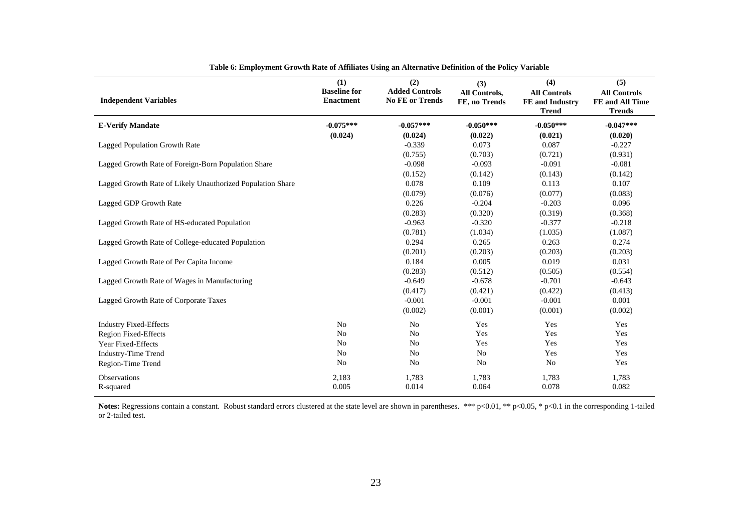| <b>Independent Variables</b>                               | (1)<br><b>Baseline for</b><br><b>Enactment</b> | (2)<br><b>Added Controls</b><br><b>No FE or Trends</b> | (3)<br>All Controls,<br>FE, no Trends | (4)<br><b>All Controls</b><br>FE and Industry<br><b>Trend</b> | (5)<br><b>All Controls</b><br>FE and All Time<br><b>Trends</b> |
|------------------------------------------------------------|------------------------------------------------|--------------------------------------------------------|---------------------------------------|---------------------------------------------------------------|----------------------------------------------------------------|
| <b>E-Verify Mandate</b>                                    | $-0.075***$                                    | $-0.057***$                                            | $-0.050***$                           | $-0.050***$                                                   | $-0.047***$                                                    |
|                                                            | (0.024)                                        | (0.024)                                                | (0.022)                               | (0.021)                                                       | (0.020)                                                        |
| Lagged Population Growth Rate                              |                                                | $-0.339$                                               | 0.073                                 | 0.087                                                         | $-0.227$                                                       |
|                                                            |                                                | (0.755)                                                | (0.703)                               | (0.721)                                                       | (0.931)                                                        |
| Lagged Growth Rate of Foreign-Born Population Share        |                                                | $-0.098$                                               | $-0.093$                              | $-0.091$                                                      | $-0.081$                                                       |
|                                                            |                                                | (0.152)                                                | (0.142)                               | (0.143)                                                       | (0.142)                                                        |
| Lagged Growth Rate of Likely Unauthorized Population Share |                                                | 0.078                                                  | 0.109                                 | 0.113                                                         | 0.107                                                          |
|                                                            |                                                | (0.079)                                                | (0.076)                               | (0.077)                                                       | (0.083)                                                        |
| Lagged GDP Growth Rate                                     |                                                | 0.226                                                  | $-0.204$                              | $-0.203$                                                      | 0.096                                                          |
|                                                            |                                                | (0.283)                                                | (0.320)                               | (0.319)                                                       | (0.368)                                                        |
| Lagged Growth Rate of HS-educated Population               |                                                | $-0.963$                                               | $-0.320$                              | $-0.377$                                                      | $-0.218$                                                       |
|                                                            |                                                | (0.781)                                                | (1.034)                               | (1.035)                                                       | (1.087)                                                        |
| Lagged Growth Rate of College-educated Population          |                                                | 0.294                                                  | 0.265                                 | 0.263                                                         | 0.274                                                          |
|                                                            |                                                | (0.201)                                                | (0.203)                               | (0.203)                                                       | (0.203)                                                        |
| Lagged Growth Rate of Per Capita Income                    |                                                | 0.184                                                  | 0.005                                 | 0.019                                                         | 0.031                                                          |
|                                                            |                                                | (0.283)                                                | (0.512)                               | (0.505)                                                       | (0.554)                                                        |
| Lagged Growth Rate of Wages in Manufacturing               |                                                | $-0.649$                                               | $-0.678$                              | $-0.701$                                                      | $-0.643$                                                       |
|                                                            |                                                | (0.417)                                                | (0.421)                               | (0.422)                                                       | (0.413)                                                        |
| Lagged Growth Rate of Corporate Taxes                      |                                                | $-0.001$                                               | $-0.001$                              | $-0.001$                                                      | 0.001                                                          |
|                                                            |                                                | (0.002)                                                | (0.001)                               | (0.001)                                                       | (0.002)                                                        |
| <b>Industry Fixed-Effects</b>                              | $\rm No$                                       | N <sub>o</sub>                                         | Yes                                   | Yes                                                           | Yes                                                            |
| Region Fixed-Effects                                       | N <sub>o</sub>                                 | N <sub>o</sub>                                         | Yes                                   | Yes                                                           | Yes                                                            |
| Year Fixed-Effects                                         | N <sub>o</sub>                                 | N <sub>o</sub>                                         | Yes                                   | Yes                                                           | Yes                                                            |
| <b>Industry-Time Trend</b>                                 | No                                             | N <sub>o</sub>                                         | N <sub>o</sub>                        | Yes                                                           | Yes                                                            |
| Region-Time Trend                                          | No                                             | N <sub>o</sub>                                         | N <sub>o</sub>                        | N <sub>o</sub>                                                | Yes                                                            |
| Observations                                               | 2,183                                          | 1,783                                                  | 1,783                                 | 1,783                                                         | 1,783                                                          |
| R-squared                                                  | 0.005                                          | 0.014                                                  | 0.064                                 | 0.078                                                         | 0.082                                                          |

**Table 6: Employment Growth Rate of Affiliates Using an Alternative Definition of the Policy Variable** 

Notes: Regressions contain a constant. Robust standard errors clustered at the state level are shown in parentheses. \*\*\* p<0.01, \*\* p<0.05, \* p<0.1 in the corresponding 1-tailed or 2-tailed test.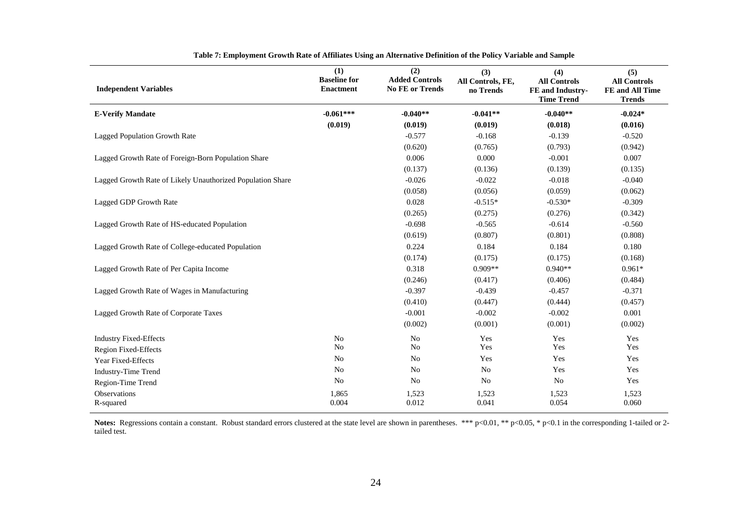| <b>Independent Variables</b>                               | (1)<br><b>Baseline for</b><br><b>Enactment</b> | (2)<br><b>Added Controls</b><br><b>No FE or Trends</b> | (3)<br>All Controls, FE,<br>no Trends | (4)<br><b>All Controls</b><br>FE and Industry-<br><b>Time Trend</b> | (5)<br><b>All Controls</b><br>FE and All Time<br><b>Trends</b> |
|------------------------------------------------------------|------------------------------------------------|--------------------------------------------------------|---------------------------------------|---------------------------------------------------------------------|----------------------------------------------------------------|
| <b>E-Verify Mandate</b>                                    | $-0.061***$                                    | $-0.040**$                                             | $-0.041**$                            | $-0.040**$                                                          | $-0.024*$                                                      |
|                                                            | (0.019)                                        | (0.019)                                                | (0.019)                               | (0.018)                                                             | (0.016)                                                        |
| Lagged Population Growth Rate                              |                                                | $-0.577$                                               | $-0.168$                              | $-0.139$                                                            | $-0.520$                                                       |
|                                                            |                                                | (0.620)                                                | (0.765)                               | (0.793)                                                             | (0.942)                                                        |
| Lagged Growth Rate of Foreign-Born Population Share        |                                                | 0.006                                                  | 0.000                                 | $-0.001$                                                            | 0.007                                                          |
|                                                            |                                                | (0.137)                                                | (0.136)                               | (0.139)                                                             | (0.135)                                                        |
| Lagged Growth Rate of Likely Unauthorized Population Share |                                                | $-0.026$                                               | $-0.022$                              | $-0.018$                                                            | $-0.040$                                                       |
|                                                            |                                                | (0.058)                                                | (0.056)                               | (0.059)                                                             | (0.062)                                                        |
| Lagged GDP Growth Rate                                     |                                                | 0.028                                                  | $-0.515*$                             | $-0.530*$                                                           | $-0.309$                                                       |
|                                                            |                                                | (0.265)                                                | (0.275)                               | (0.276)                                                             | (0.342)                                                        |
| Lagged Growth Rate of HS-educated Population               |                                                | $-0.698$                                               | $-0.565$                              | $-0.614$                                                            | $-0.560$                                                       |
|                                                            |                                                | (0.619)                                                | (0.807)                               | (0.801)                                                             | (0.808)                                                        |
| Lagged Growth Rate of College-educated Population          |                                                | 0.224                                                  | 0.184                                 | 0.184                                                               | 0.180                                                          |
|                                                            |                                                | (0.174)                                                | (0.175)                               | (0.175)                                                             | (0.168)                                                        |
| Lagged Growth Rate of Per Capita Income                    |                                                | 0.318                                                  | $0.909**$                             | $0.940**$                                                           | $0.961*$                                                       |
|                                                            |                                                | (0.246)                                                | (0.417)                               | (0.406)                                                             | (0.484)                                                        |
| Lagged Growth Rate of Wages in Manufacturing               |                                                | $-0.397$                                               | $-0.439$                              | $-0.457$                                                            | $-0.371$                                                       |
|                                                            |                                                | (0.410)                                                | (0.447)                               | (0.444)                                                             | (0.457)                                                        |
| Lagged Growth Rate of Corporate Taxes                      |                                                | $-0.001$                                               | $-0.002$                              | $-0.002$                                                            | 0.001                                                          |
|                                                            |                                                | (0.002)                                                | (0.001)                               | (0.001)                                                             | (0.002)                                                        |
| <b>Industry Fixed-Effects</b>                              | N <sub>0</sub>                                 | N <sub>o</sub>                                         | Yes                                   | Yes                                                                 | Yes                                                            |
| <b>Region Fixed-Effects</b>                                | N <sub>o</sub>                                 | N <sub>o</sub>                                         | Yes                                   | Yes                                                                 | Yes                                                            |
| Year Fixed-Effects                                         | N <sub>o</sub>                                 | N <sub>o</sub>                                         | Yes                                   | Yes                                                                 | Yes                                                            |
| <b>Industry-Time Trend</b>                                 | No                                             | N <sub>o</sub>                                         | N <sub>0</sub>                        | Yes                                                                 | Yes                                                            |
| Region-Time Trend                                          | N <sub>o</sub>                                 | N <sub>o</sub>                                         | No                                    | N <sub>o</sub>                                                      | Yes                                                            |
| <b>Observations</b>                                        | 1,865                                          | 1,523                                                  | 1,523                                 | 1,523                                                               | 1,523                                                          |
| R-squared                                                  | 0.004                                          | 0.012                                                  | 0.041                                 | 0.054                                                               | 0.060                                                          |

**Table 7: Employment Growth Rate of Affiliates Using an Alternative Definition of the Policy Variable and Sample** 

Notes: Regressions contain a constant. Robust standard errors clustered at the state level are shown in parentheses. \*\*\* p<0.01, \*\* p<0.05, \* p<0.1 in the corresponding 1-tailed or 2tailed test.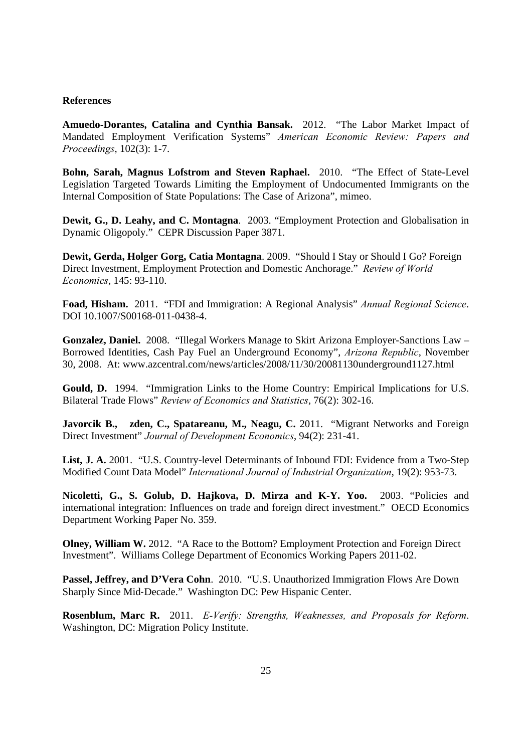### **References**

**Amuedo-Dorantes, Catalina and Cynthia Bansak.** 2012. "The Labor Market Impact of Mandated Employment Verification Systems" *American Economic Review: Papers and Proceedings*, 102(3): 1-7.

**Bohn, Sarah, Magnus Lofstrom and Steven Raphael.** 2010. "The Effect of State-Level Legislation Targeted Towards Limiting the Employment of Undocumented Immigrants on the Internal Composition of State Populations: The Case of Arizona", mimeo.

**Dewit, G., D. Leahy, and C. Montagna**. 2003. "Employment Protection and Globalisation in Dynamic Oligopoly." CEPR Discussion Paper 3871.

**Dewit, Gerda, Holger Gorg, Catia Montagna**. 2009. "Should I Stay or Should I Go? Foreign Direct Investment, Employment Protection and Domestic Anchorage." *Review of World Economics*, 145: 93-110.

**Foad, Hisham.** 2011. "FDI and Immigration: A Regional Analysis" *Annual Regional Science*. DOI 10.1007/S00168-011-0438-4.

**Gonzalez, Daniel.** 2008. "Illegal Workers Manage to Skirt Arizona Employer-Sanctions Law – Borrowed Identities, Cash Pay Fuel an Underground Economy", *Arizona Republic*, November 30, 2008. At: www.azcentral.com/news/articles/2008/11/30/20081130underground1127.html

**Gould, D.** 1994. "Immigration Links to the Home Country: Empirical Implications for U.S. Bilateral Trade Flows" *Review of Economics and Statistics*, 76(2): 302-16.

**Javorcik B., zden, C., Spatareanu, M., Neagu, C.** 2011. "Migrant Networks and Foreign Direct Investment" *Journal of Development Economics*, 94(2): 231-41.

List, J. A. 2001. "U.S. Country-level Determinants of Inbound FDI: Evidence from a Two-Step Modified Count Data Model" *International Journal of Industrial Organization*, 19(2): 953-73.

**Nicoletti, G., S. Golub, D. Hajkova, D. Mirza and K-Y. Yoo.** 2003. "Policies and international integration: Influences on trade and foreign direct investment." OECD Economics Department Working Paper No. 359.

**Olney, William W.** 2012. "A Race to the Bottom? Employment Protection and Foreign Direct Investment". Williams College Department of Economics Working Papers 2011-02.

Passel, Jeffrey, and D'Vera Cohn. 2010. "U.S. Unauthorized Immigration Flows Are Down Sharply Since Mid‐Decade." Washington DC: Pew Hispanic Center.

**Rosenblum, Marc R.** 2011. *E-Verify: Strengths, Weaknesses, and Proposals for Reform*. Washington, DC: Migration Policy Institute.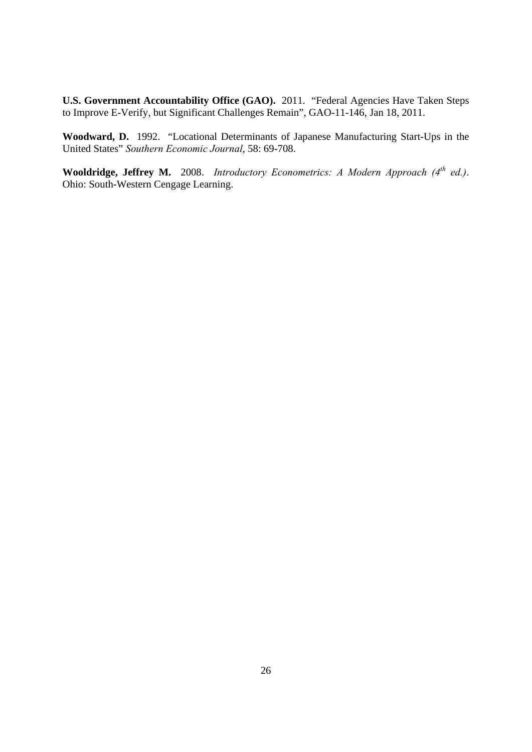U.S. Government Accountability Office (GAO). 2011. "Federal Agencies Have Taken Steps to Improve E-Verify, but Significant Challenges Remain", GAO-11-146, Jan 18, 2011.

**Woodward, D.** 1992. "Locational Determinants of Japanese Manufacturing Start-Ups in the United States" *Southern Economic Journal*, 58: 69-708.

**Wooldridge, Jeffrey M.** 2008. *Introductory Econometrics: A Modern Approach (4th ed.)*. Ohio: South-Western Cengage Learning.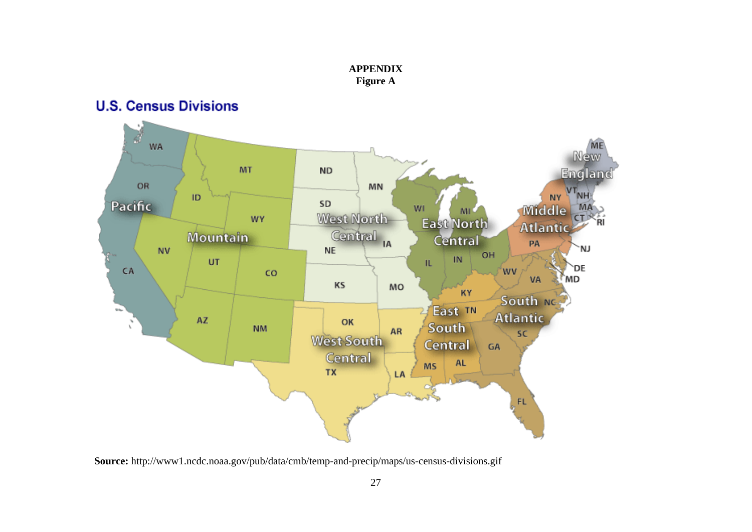

**APPENDIX Figure A** 

**Source:** http://www1.ncdc.noaa.gov/pub/data/cmb/temp-and-precip/maps/us-census-divisions.gif